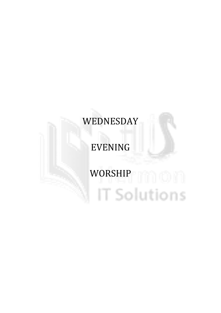# WEDNESDAY

## EVENING

# WORSHIP **WORSHIP IT Solutions**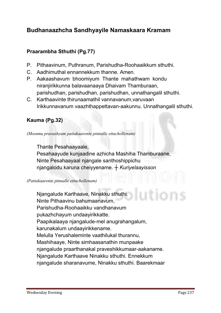### Budhanaazhcha Sandhyayile Namaskaara Kramam

#### Praarambha Sthuthi (Pg.77)

- **P. Pithaavinum, Puthranum, Parishudha-Roohaaikkum sthuthi.**
- **C. Aadhimuthal ennannekkum thanne. Amen.**
- **P. Aakaashavum bhoomiyum Thante mahathwam kondu niranjirikkunna balavaanaaya Dhaivam Thamburaan, parishudhan, parishudhan, parishudhan, unnathangalil sthuthi.**
- **C. Karthaavinte thirunaamathil vannavanum,varuvaan Irikkunnavanum vaazhthappettavan-aakunnu. Unnathangalil sthuthi.**

#### Kauma (Pg.32)

*(Moonnu pravashyam pattakaarente pinnalle ettuchollenam)*

**Thante Pesahaayaale,** 

**Pesahaayude kunjaadine azhicha Mashiha Thamburaane, Ninte Pesahaayaal njangale santhoshippichu njangalodu karuna cheiyyename.** *┼ Kuriyelaayisson*

*(Pattakaarente pinnalle ettuchollenam)*

**Njangalude Karthaave, Ninakku sthuthi. Ninte Pithaavinu bahumaanavum, Parishudha-Roohaaikku vandhanavum pukazhchayum undaayirikkatte. Paapikalaaya njangalude-mel anugrahangalum, karunakalum undaayirikkename. Melulla Yerushaleminte vaathilukal thurannu, Mashihaaye, Ninte simhaasanathin munpaake njangalude praarthanakal praveshikkumaar-aakaname. Njangalude Karthaave Ninakku sthuthi. Ennekkum njangalude sharanavume, Ninakku sthuthi. Baarekmaar**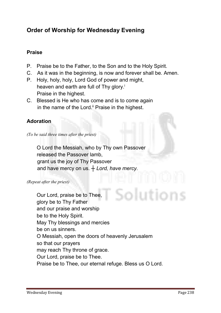## Order of Worship for Wednesday Evening

#### Praise

- **P. Praise be to the Father, to the Son and to the Holy Spirit.**
- **C. As it was in the beginning, is now and forever shall be. Amen.**
- **P. Holy, holy, holy, Lord God of power and might, heaven and earth are full of Thy glory.i Praise in the highest.**
- **C. Blessed is He who has come and is to come again in the name of the Lord.ii Praise in the highest.**

#### Adoration

*(To be said three times after the priest)*

**O Lord the Messiah, who by Thy own Passover released the Passover lamb, grant us the joy of Thy Passover and have mercy on us.** *┼ Lord, have mercy.*

#### *(Repeat after the priest)*

**Our Lord, praise be to Thee, glory be to Thy Father and our praise and worship be to the Holy Spirit. May Thy blessings and mercies be on us sinners. O Messiah, open the doors of heavenly Jerusalem so that our prayers may reach Thy throne of grace. Our Lord, praise be to Thee. Praise be to Thee, our eternal refuge. Bless us O Lord.**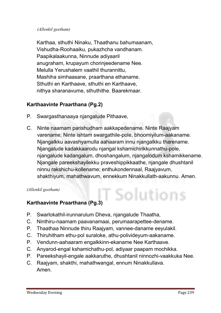#### *(Allenkil geetham)*

**Karthaa, sthuthi Ninaku, Thaathanu bahumaanam, Vishudha-Roohaaiku, pukazhcha vandhanam. Paapikalaakunna, Ninnude adiyaaril anugraham, krupayum chorinjeedename Nee. Melulla Yerushalem vaathil thurannittu, Mashiha simhaasane, praarthana ethaname. Sthuthi en Karthaave, sthuthi en Karthaave, nithya sharanavume, sthuthithe. Baarekmaar.**

#### Karthaavinte Praarthana (Pg.2)

- **P. Swargasthanaaya njangalude Pithaave,**
- **C. Ninte naamam parishudham aakkapedename. Ninte Raajyam varename; Ninte ishtam swargathile-pole, bhoomiyilum-aakaname. Njangalkku aavashyamulla aahaaram innu njangalkku tharename. Njangalude kadakkaarodu njangal kshamichirikkunnathu-pole, njangalude kadangalum, dhoshangalum, njangalodum kshamikkename. Njangale pareekshayilekku praveshippikkaathe, njangale dhushtanil ninnu rakshichu-kollename; enthukondennaal, Raajyavum, shakthiyum, mahathwavum, ennekkum Ninakkullath-aakunnu. Amen.**

Solutions

*(Allenkil geetham)*

#### Karthaavinte Praarthana (Pg.3)

- **P. Swarlokathil-irunnarulum Dheva, njangalude Thaatha,**
- **C. Ninthiru-naamam paavanamaai, perumaarapettee-dename.**
- **P. Thaathaa Ninnude thiru Raajyam, vannee-daname eeyulakil.**
- **C. Thiruhitham ethu-pol suraloke, athu-polivideyum-aakaname.**
- **P. Vendunn-aahaaram engalkkinn-ekaname Nee Karthaave.**
- **C. Anyarod-engal kshamichathu-pol, adiyaar paapam mochikka.**
- **P. Pareekshayil-engale aakkaruthe, dhushtanil ninnozhi-vaakkuka Nee.**
- **C. Raajyam, shakthi, mahathwangal, ennum Ninakkullava. Amen.**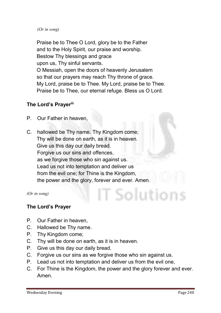#### *(Or in song)*

**Praise be to Thee O Lord, glory be to the Father and to the Holy Spirit, our praise and worship. Bestow Thy blessings and grace upon us, Thy sinful servants. O Messiah, open the doors of heavenly Jerusalem so that our prayers may reach Thy throne of grace. My Lord, praise be to Thee. My Lord, praise be to Thee. Praise be to Thee, our eternal refuge. Bless us O Lord.** 

#### The Lord's Prayeriii

- **P. Our Father in heaven,**
- **C. hallowed be Thy name. Thy Kingdom come; Thy will be done on earth, as it is in heaven. Give us this day our daily bread. Forgive us our sins and offences, as we forgive those who sin against us. Lead us not into temptation and deliver us from the evil one; for Thine is the Kingdom, the power and the glory, forever and ever. Amen.**

*(Or in song)*

#### The Lord's Prayer

- **P. Our Father in heaven,**
- **C. Hallowed be Thy name.**
- **P. Thy Kingdom come;**
- **C. Thy will be done on earth, as it is in heaven.**
- **P. Give us this day our daily bread.**
- **C. Forgive us our sins as we forgive those who sin against us.**
- **P. Lead us not into temptation and deliver us from the evil one,**
- **C. For Thine is the Kingdom, the power and the glory forever and ever. Amen.**

Solutions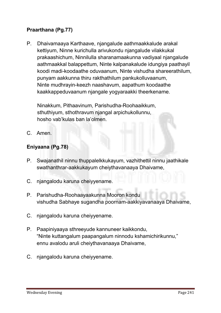#### Praarthana (Pg.77)

**P. Dhaivamaaya Karthaave, njangalude aathmaakkalude arakal kettiyum, Ninne kurichulla arivukondu njangalude vilakkukal prakaashichum, Ninnilulla sharanamaakunna vadiyaal njangalude aathmaakkal balappettum, Ninte kalpanakalude idungiya paathayil koodi madi-koodaathe oduvaanum, Ninte vishudha shareerathilum, punyam aakkunna thiru rakthathilum pankukolluvaanum, Ninte mudhrayin-keezh naashavum, aapathum koodaathe kaakkappeduvaanum njangale yogyaraakki theerkename.** 

**Ninakkum, Pithaavinum, Parishudha-Roohaaikkum, sthuthiyum, sthothravum njangal arpichukollunnu, hosho vab'kulas ban la'olmen.**

**C. Amen.** 

#### Eniyaana (Pg.78)

- **P. Swajanathil ninnu thuppalelkkukayum, vazhithettil ninnu jaathikale swathanthrar-aakkukayum cheiythavanaaya Dhaivame,**
- **C. njangalodu karuna cheiyyename.**
- **P. Parishudha-Roohaayaakunna Mooron kondu vishudha Sabhaye sugandha poornam-aakkiyavanaaya Dhaivame,**
- **C. njangalodu karuna cheiyyename.**
- **P. Paapiniyaaya sthreeyude kannuneer kaikkondu, "Ninte kuttangalum paapangalum ninnodu kshamichirikunnu," ennu avalodu aruli cheiythavanaaya Dhaivame,**
- **C. njangalodu karuna cheiyyename.**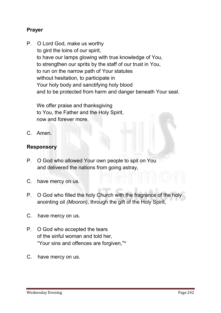#### Prayer

**P. O Lord God, make us worthy to gird the loins of our spirit, to have our lamps glowing with true knowledge of You, to strengthen our sprits by the staff of our trust in You, to run on the narrow path of Your statutes without hesitation, to participate in Your holy body and sanctifying holy blood and to be protected from harm and danger beneath Your seal.**

**We offer praise and thanksgiving to You, the Father and the Holy Spirit, now and forever more.**

**C. Amen.** 

#### Responsory

- **P. O God who allowed Your own people to spit on You and delivered the nations from going astray,**
- **C. have mercy on us.**
- **P. O God who filled the holy Church with the fragrance of the holy anointing oil** *(Mooron)***, through the gift of the Holy Spirit,**
- **C. have mercy on us.**
- **P. O God who accepted the tears of the sinful woman and told her, "Your sins and offences are forgiven,"iv**
- **C. have mercy on us.**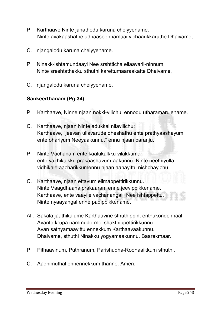- **P. Karthaave Ninte janathodu karuna cheiyyename. Ninte avakaashathe udhaaseennamaai vichaarikkaruthe Dhaivame,**
- **C. njangalodu karuna cheiyyename.**
- **P. Ninakk-ishtamundaayi Nee srshtticha ellaavaril-ninnum, Ninte sreshtathakku sthuthi karettumaaraakatte Dhaivame,**
- **C. njangalodu karuna cheiyyename.**

#### Sankeerthanam (Pg.34)

- **P. Karthaave, Ninne njaan nokki-vilichu; ennodu utharamarulename.**
- **C. Karthaave, njaan Ninte adukkal nilavilichu; Karthaave, "jeevan ullavarude dheshathu ente prathyaashayum, ente ohariyum Neeyaakunnu," ennu njaan paranju.**
- **P. Ninte Vachanam ente kaalukalkku vilakkum, ente vazhikalkku prakaashavum-aakunnu. Ninte neethiyulla vidhikale aacharikkumennu njaan aanayittu nishchayichu.**
- **C. Karthaave, njaan ettavum elimappettirikkunnu. Ninte Vaagdhaana prakaaram enne jeevippikkename. Karthaave, ente vaayile vachanangalil Nee ishtappettu, Ninte nyaayangal enne padippikkename.**
- **All: Sakala jaathikalume Karthaavine sthuthippin; enthukondennaal Avante krupa nammude-mel shakthippettirikkunnu. Avan sathyamaayittu ennekkum Karthaavaakunnu. Dhaivame, sthuthi Ninakku yogyamaakunnu. Baarekmaar.**
- **P. Pithaavinum, Puthranum, Parishudha-Roohaaikkum sthuthi.**
- **C. Aadhimuthal ennennekkum thanne. Amen.**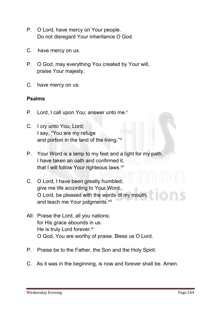- **P. O Lord, have mercy on Your people. Do not disregard Your inheritance O God.**
- **C. have mercy on us.**
- **P. O God, may everything You created by Your will, praise Your majesty.**
- **C. have mercy on us.**

#### Psalms

- **P. Lord, I call upon You; answer unto me.v**
- **C. I cry unto You, Lord; I say, "You are my refuge and portion in the land of the living."vi**
- **P. Your Word is a lamp to my feet and a light for my path. I have taken an oath and confirmed it, that I will follow Your righteous laws. vii**
- **C. O Lord, I have been greatly humbled; give me life according to Your Word. O Lord, be pleased with the words of my mouth, and teach me Your judgments. viii**
- **All: Praise the Lord, all you nations; for His grace abounds in us. He is truly Lord forever.ix O God, You are worthy of praise. Bless us O Lord.**
- **P. Praise be to the Father, the Son and the Holy Spirit.**
- **C. As it was in the beginning, is now and forever shall be. Amen.**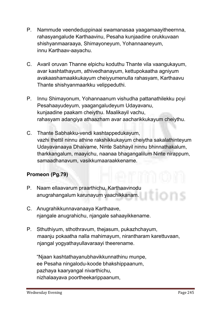- **P. Nammude veendeduppinaai swamanasaa yaagamaayitheernna, rahasyangalude Karthaavinu, Pesaha kunjaadine orukkuvaan shishyanmaaraaya, Shimayoneyum, Yohannaaneyum, innu Karthaav-aayachu.**
- **C. Avaril oruvan Thanne elpichu koduthu Thante vila vaangukayum, avar kashtathayum, athivedhanayum, kettupokaatha agniyum avakaashamaakkukayum cheiyyumenulla rahasyam, Karthaavu Thante shishyanmaarkku velippeduthi.**
- **P. Innu Shimayonum, Yohannaanum vishudha pattanathilekku poyi Pesahaayudeyum, yaagangaludeyum Udayavanu, kunjaadine paakam cheiythu. Maalikayil vachu, rahasyam adangiya athaazham avar aacharikkukayum cheiythu.**
- **C. Thante Sabhakku-vendi kashtappedukayum, vazhi thettil ninnu athine rakshikkukayum cheiytha sakalathinteyum Udayavanaaya Dhaivame, Ninte Sabhayil ninnu bhinnathakalum, tharkkangalum, maayichu, naanaa bhagangalilum Ninte nirappum, samaadhanavum, vasikkumaaraakkename.**

#### Promeon (Pg.79)

- **P. Naam ellaavarum praarthichu, Karthaavinodu anugrahangalum karunayum yaachikkanam.**
- **C. Anugrahikkunnavanaaya Karthaave, njangale anugrahichu, njangale sahaayikkename.**
- **P. Sthuthiyum, sthothravum, thejasum, pukazhchayum, maanju pokaatha nalla mahimayum, nirantharam karettuvaan, njangal yogyathayullavaraayi theerename.**

**"Njaan kashtathayanubhavikkunnathinu munpe, ee Pesaha ningalodu-koode bhakshippaanum, pazhaya kaaryangal nivarthichu, nizhalaayava poortheekarippaanum,**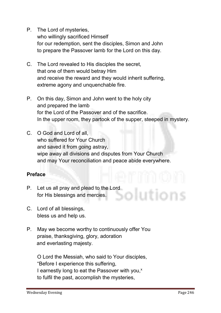**P. The Lord of mysteries,** 

**who willingly sacrificed Himself for our redemption, sent the disciples, Simon and John to prepare the Passover lamb for the Lord on this day.**

- **C. The Lord revealed to His disciples the secret, that one of them would betray Him and receive the reward and they would inherit suffering, extreme agony and unquenchable fire.**
- **P. On this day, Simon and John went to the holy city and prepared the lamb for the Lord of the Passover and of the sacrifice. In the upper room, they partook of the supper, steeped in mystery.**
- **C. O God and Lord of all, who suffered for Your Church and saved it from going astray, wipe away all divisions and disputes from Your Church and may Your reconciliation and peace abide everywhere.**

#### Preface

- **P. Let us all pray and plead to the Lord for His blessings and mercies.**
- **C. Lord of all blessings, bless us and help us.**
- **P. May we become worthy to continuously offer You praise, thanksgiving, glory, adoration and everlasting majesty.**

**O Lord the Messiah, who said to Your disciples, "Before I experience this suffering,**  I earnestly long to eat the Passover with you,<sup>x</sup> **to fulfil the past, accomplish the mysteries,**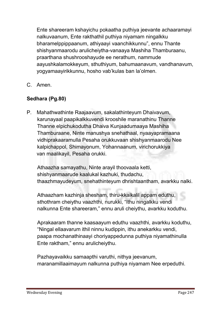**Ente shareeram kshayichu pokaatha puthiya jeevante achaaramayi nalkuvaanum, Ente rakthathil puthiya niyamam ningalkku bharamelppippaanum, athiyaayi vaanchikkunnu", ennu Thante shishyanmaarodu arulicheiytha-vanaaya Mashiha Thamburaanu, praarthana shushrooshayude ee nerathum, nammude aayushkalamokkeyum, sthuthiyum, bahumaanavum, vandhanavum, yogyamaayirikkunnu, hosho vab'kulas ban la'olmen.**

**C. Amen.**

#### Sedhara (Pg.80)

**P. Mahathwathinte Raajaavum, sakalathinteyum Dhaivavum, karunayaal paapikalkkuvendi krooshile maranathinu Thanne Thanne elpichukodutha Dhaiva Kunjaadumaaya Mashiha Thamburaane, Ninte manushya snehathaal, nyaayapramaana vidhiprakaaramulla Pesaha orukkuvaan shishyanmaarodu Nee kalpichappol, Shimayonum, Yohannaanum, virichorukkiya van maalikayil, Pesaha orukki.** 

**Athaazha samayathu, Ninte arayil thoovaala ketti, shishyanmaarude kaalukal kazhuki, thudachu, thaazhmayudeyum, snehathinteyum dhrishtaantham, avarkku nalki.** 

**Athaazham kazhinja shesham, thiru-kkaikalil appam eduthu, sthothram cheiythu vaazhthi, nurukki, "Ithu ningalkku vendi nalkunna Ente shareeram," ennu aruli cheiythu, avarkku koduthu.** 

**Aprakaaram thanne kaasaayum eduthu vaazhthi, avarkku koduthu, "Ningal ellaavarum ithil ninnu kudippin, ithu anekarkku vendi, paapa mochanathinaayi choriyappedunna puthiya niyamathinulla Ente raktham," ennu arulicheiythu.** 

**Pazhayavaikku samaapthi varuthi, nithya jeevanum, maranamillaaimayum nalkunna puthiya niyamam Nee erpeduthi.**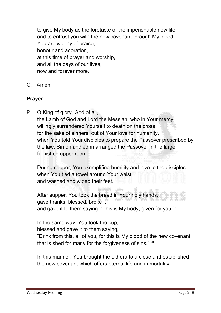**to give My body as the foretaste of the imperishable new life and to entrust you with the new covenant through My blood," You are worthy of praise, honour and adoration, at this time of prayer and worship, and all the days of our lives, now and forever more.**

**C. Amen.**

#### Prayer

**P. O King of glory, God of all, the Lamb of God and Lord the Messiah, who in Your mercy, willingly surrendered Yourself to death on the cross for the sake of sinners, out of Your love for humanity, when You told Your disciples to prepare the Passover prescribed by the law, Simon and John arranged the Passover in the large, furnished upper room.**

**During supper, You exemplified humility and love to the disciples when You tied a towel around Your waist and washed and wiped their feet.**

**After supper, You took the bread in Your holy hands, gave thanks, blessed, broke it and gave it to them saying, "This is My body, given for you."xi**

**In the same way, You took the cup, blessed and gave it to them saying, "Drink from this, all of you, for this is My blood of the new covenant that is shed for many for the forgiveness of sins." xii**

**In this manner, You brought the old era to a close and established the new covenant which offers eternal life and immortality.**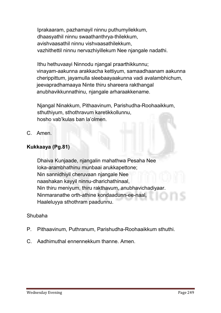**Iprakaaram, pazhamayil ninnu puthumyilekkum, dhaasyathil ninnu swaathanthrya-thilekkum, avishvaasathil ninnu vishvaasathilekkum, vazhithettil ninnu nervazhiyillekum Nee njangale nadathi.**

**Ithu hethuvaayi Ninnodu njangal praarthikkunnu; vinayam-aakunna arakkacha kettiyum, samaadhaanam aakunna cherippittum, jayamulla sleebaayaakunna vadi avalambhichum, jeevapradhamaaya Ninte thiru shareera rakthangal anubhavikkunnathinu, njangale arharaakkename.** 

**Njangal Ninakkum, Pithaavinum, Parishudha-Roohaaikkum, sthuthiyum, sthothravum karetikkollunnu, hosho vab'kulas ban la'olmen.**

**C. Amen.**

#### Kukkaaya (Pg.81)

**Dhaiva Kunjaade, njangalin mahathwa Pesaha Nee loka-arambhathinu munbaai arukkapettone; Nin sannidhiyil cheruvaan njangale Nee naashakan kayyil ninnu-dharichathinaal, Nin thiru meniyum, thiru rakthavum, anubhavichadiyaar. Ninmaranathe orth-athine kondaadunn-ee-naal, Haaleluyya sthothram paadunnu.**

#### **Shubaha**

- **P. Pithaavinum, Puthranum, Parishudha-Roohaaikkum sthuthi.**
- **C. Aadhimuthal ennennekkum thanne. Amen.**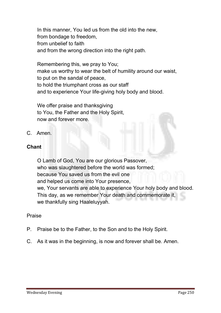**In this manner, You led us from the old into the new, from bondage to freedom, from unbelief to faith and from the wrong direction into the right path.**

**Remembering this, we pray to You; make us worthy to wear the belt of humility around our waist, to put on the sandal of peace, to hold the triumphant cross as our staff and to experience Your life-giving holy body and blood.**

**We offer praise and thanksgiving to You, the Father and the Holy Spirit, now and forever more.**

**C. Amen.**

#### **Chant**

**O Lamb of God, You are our glorious Passover, who was slaughtered before the world was formed; because You saved us from the evil one and helped us come into Your presence, we, Your servants are able to experience Your holy body and blood. This day, as we remember Your death and commemorate it, we thankfully sing Haaleluyyah.**

#### **Praise**

- **P. Praise be to the Father, to the Son and to the Holy Spirit.**
- **C. As it was in the beginning, is now and forever shall be. Amen.**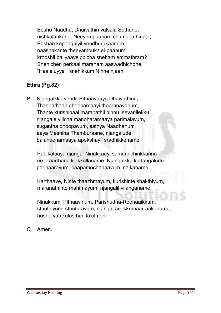**Eesho Naadha, Dhaivathin valsala Suthane, nishkalankane, Neeyen paapam chumanathinaal, Eeshan kopaagniyil vendhurukaanum, naashakante theeyambukalel-paanum, krooshil baliyaayelppicha sneham emmathram? Snehichen perkaai maranam aaswadhichone; "Haaleluyya", snehikkum Ninne njaan.**

#### Ethra (Pg.82)

**P. Njangalkku vendi, Pithaavaaya Dhaivathinu, Thannathaan dhoopamaayi theernnavanum, Thante kurishinaal maranathil ninnu jeevanilekku njangale vilicha manoharamaaya parimalavum, sugantha dhoopavum, sathya Naadhanum aaya Mashiha Thamburaane, njangalude balaheenamaaya apekshayil sradhikkename.** 

**Papikalaaya njangal Ninakkaayi samarpichirikkunna ee praarthana kaikkollaname. Njangalkku kadangalude parihaaravum, paapamochanaavum, nalkaname.** 

**Karthaave, Ninte thaazhmayum, kurishinte shakthiyum, maranathinte mahimayum, njangalil vilanganame.** 

**Ninakkum, Pithaavinum, Parishudha-Roohaaikkum, sthuthiyum, sthothravum, njangal arpikkumaar-aakaname, hosho vab'kulas ban la'olmen.**

**C. Amen.**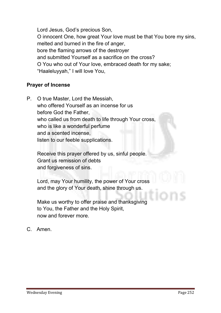**Lord Jesus, God's precious Son, O innocent One, how great Your love must be that You bore my sins, melted and burned in the fire of anger, bore the flaming arrows of the destroyer and submitted Yourself as a sacrifice on the cross? O You who out of Your love, embraced death for my sake; "Haaleluyyah," I will love You,**

#### Prayer of Incense

**P. O true Master, Lord the Messiah, who offered Yourself as an incense for us before God the Father, who called us from death to life through Your cross, who is like a wonderful perfume and a scented incense, listen to our feeble supplications.**

**Receive this prayer offered by us, sinful people. Grant us remission of debts and forgiveness of sins.**

**Lord, may Your humility, the power of Your cross and the glory of Your death, shine through us.**

**Make us worthy to offer praise and thanksgiving to You, the Father and the Holy Spirit, now and forever more.**

**C. Amen.**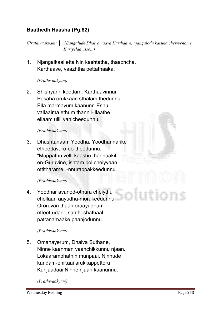#### Baathedh Haasha (Pg.82)

*(Prathivaakyam: ┼ Njangalude Dhaivamaaya Karthaave, njangalodu karuna cheiyyename. Kuriyelaayisson.)*

**1. Njangalkaai etta Nin kashtatha, thaazhcha, Karthaave, vaazhtha pettathaaka.**

#### *(Prathivaakyam)*

**2. Shishyarin koottam, Karthaavinnai Pesaha orukkaan sthalam thedunnu. Ella marmavum kaanunn-Eshu, vallaaima ethum thannil-illaathe ellaam ullil vahicheedunnu.**

#### *(Prathivaakyam)*

**3. Dhushtanaam Yoodha, Yoodharinarike etheettavaro-do-theedunnu, "Muppathu velli-kaashu thannaakil, en-Guruvine, ishtam pol cheiyvaan ottitharame,"-nnurappakkeedunnu.**

#### *(Prathivaakyam)*

**4. Yoodhar avanod-othura cheiythu chollaan aayudha-morukeedunnu. Ororuvan thaan oraayudham etteet-udane santhoshathaal pattanamaake paanjodunnu.**

#### *(Prathivaakyam)*

**5. Omanayerum, Dhaiva Suthane, Ninne kaanman vaanchikkunnu njaan. Lokaarambhathin munpaai, Ninnude kandam-enikaai arukkappettoru Kunjaadaai Ninne njaan kaanunnu.**

#### *(Prathivaakyam)*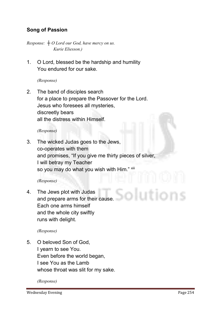#### Song of Passion

*Response: ┼ O Lord our God, have mercy on us. Kurie Eliesson.)*

**1. O Lord, blessed be the hardship and humility You endured for our sake.**

*(Response)*

**2. The band of disciples search for a place to prepare the Passover for the Lord. Jesus who foresees all mysteries, discreetly bears all the distress within Himself.**

*(Response)*

**3. The wicked Judas goes to the Jews, co-operates with them and promises, "If you give me thirty pieces of silver, I will betray my Teacher so you may do what you wish with Him." xiii**

#### *(Response)*

**4. The Jews plot with Judas and prepare arms for their cause. Each one arms himself and the whole city swiftly runs with delight.**

*(Response)*

**5. O beloved Son of God, I yearn to see You. Even before the world began, I see You as the Lamb whose throat was slit for my sake.**

*(Response)*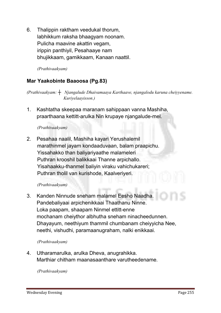**6. Thalippin raktham veedukal thorum, labhikkum raksha bhaagyam noonam. Pulicha maavine akattin vegam, irippin panthiyil, Pesahaaye nam bhujikkaam, gamikkaam, Kanaan naattil.**

*(Prathivaakyam)* 

#### Mar Yaakobinte Baaoosa (Pg.83)

*(Prathivaakyam: ┼ Njangalude Dhaivamaaya Karthaave, njangalodu karuna cheiyyename. Kuriyelaayisson.)*

**1. Kashtatha skeepaa maranam sahippaan vanna Mashiha, praarthaana kettitt-arulka Nin krupaye njangalude-mel.**

#### *(Prathivaakyam)*

**2. Pesahaa naalil, Mashiha kayari Yerushalemil marathinmel jayam kondaaduvaan, balam praapichu. Yissahakko than baliyariyaathe malameleri Puthran krooshil balikkaai Thanne arpichallo. Yisahaakku-thanmel baliyin viraku vahichukareri; Puthran tholil van kurishode, Kaalveriyeri.**

#### *(Prathivaakyam)*

**3. Kanden Ninnude sneham malamel Eesho Naadha. Pandebaliyaai arpichenikkaai Thaathanu Ninne. Loka paapam, shaapam Ninmel ettitt-enne mochanam cheiythor albhutha sneham ninacheedunnen. Dhayayum, neethiyum thammil chumbanam cheiyyicha Nee, neethi, vishudhi, paramaanugraham, nalki enikkaai.**

#### *(Prathivaakyam)*

**4. Utharamarulka, arulka Dheva, anugrahikka. Marthiar chitham maanasaanthare varutheedename.**

*(Prathivaakyam)*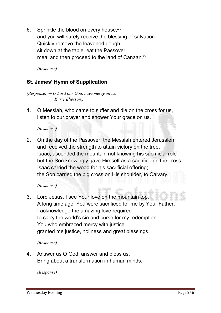**6. Sprinkle the blood on every house, xiv and you will surely receive the blessing of salvation. Quickly remove the leavened dough, sit down at the table, eat the Passover**

**meal and then proceed to the land of Canaan. xv**

*(Response)*

#### St. James' Hymn of Supplication

*(Response: ┼ O Lord our God, have mercy on us. Kurie Eliesson.)*

**1. O Messiah, who came to suffer and die on the cross for us, listen to our prayer and shower Your grace on us.**

*(Response)*

**2. On the day of the Passover, the Messiah entered Jerusalem and received the strength to attain victory on the tree. Isaac, ascended the mountain not knowing his sacrificial role but the Son knowingly gave Himself as a sacrifice on the cross. Isaac carried the wood for his sacrificial offering; the Son carried the big cross on His shoulder, to Calvary.**

#### *(Response)*

**3. Lord Jesus, I see Your love on the mountain top. A long time ago, You were sacrificed for me by Your Father. I acknowledge the amazing love required to carry the world's sin and curse for my redemption. You who embraced mercy with justice, granted me justice, holiness and great blessings.**

*(Response)*

**4. Answer us O God, answer and bless us. Bring about a transformation in human minds.**

*(Response)*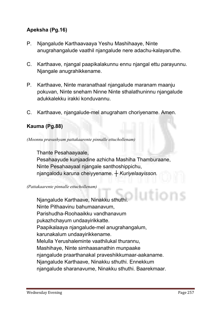#### Apeksha (Pg.16)

- **P. Njangalude Karthaavaaya Yeshu Mashihaaye, Ninte anugrahangalude vaathil njangalude nere adachu-kalayaruthe.**
- **C. Karthaave, njangal paapikalakunnu ennu njangal ettu parayunnu. Njangale anugrahikkename.**
- **P. Karthaave, Ninte maranathaal njangalude maranam maanju pokuvan, Ninte sneham Ninne Ninte sthalathuninnu njangalude adukkalekku irakki konduvannu.**
- **C. Karthaave, njangalude-mel anugraham choriyename. Amen.**

#### Kauma (Pg.88)

*(Moonnu pravashyam pattakaarente pinnalle ettuchollenam)*

**Thante Pesahaayaale, Pesahaayude kunjaadine azhicha Mashiha Thamburaane, Ninte Pesahaayaal njangale santhoshippichu, njangalodu karuna cheiyyename.** *┼ Kuriyelaayisson.*

*(Pattakaarente pinnalle ettuchollenam)*

**Njangalude Karthaave, Ninakku sthuthi. Ninte Pithaavinu bahumaanavum, Parishudha-Roohaaikku vandhanavum pukazhchayum undaayirikkatte. Paapikalaaya njangalude-mel anugrahangalum, karunakalum undaayirikkename. Melulla Yerushaleminte vaathilukal thurannu, Mashihaye, Ninte simhaasanathin munpaake njangalude praarthanakal praveshikkumaar-aakaname. Njangalude Karthaave, Ninakku sthuthi. Ennekkum njangalude sharanavume, Ninakku sthuthi. Baarekmaar.**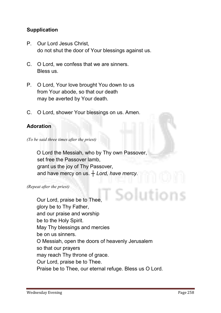#### **Supplication**

- **P. Our Lord Jesus Christ, do not shut the door of Your blessings against us.**
- **C. O Lord, we confess that we are sinners. Bless us.**
- **P. O Lord, Your love brought You down to us from Your abode, so that our death may be averted by Your death.**
- **C. O Lord, shower Your blessings on us. Amen.**

#### Adoration

*(To be said three times after the priest)*

**O Lord the Messiah, who by Thy own Passover, set free the Passover lamb, grant us the joy of Thy Passover, and have mercy on us.** *┼ Lord, have mercy.*

*(Repeat after the priest)*

iution **Our Lord, praise be to Thee, glory be to Thy Father, and our praise and worship be to the Holy Spirit. May Thy blessings and mercies be on us sinners. O Messiah, open the doors of heavenly Jerusalem so that our prayers may reach Thy throne of grace. Our Lord, praise be to Thee. Praise be to Thee, our eternal refuge. Bless us O Lord.**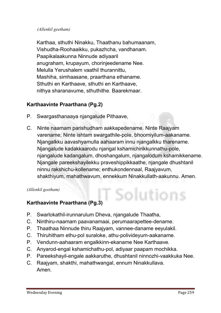#### *(Allenkil geetham)*

**Karthaa, sthuthi Ninakku, Thaathanu bahumaanam, Vishudha-Roohaaikku, pukazhcha, vandhanam. Paapikalaakunna Ninnude adiyaaril anugraham, krupayum, chorinjeedename Nee. Melulla Yerushalem vaathil thurannittu, Mashiha, simhaasane, praarthana ethaname. Sthuthi en Karthaave, sthuthi en Karthaave, nithya sharanavume, sthuthithe. Baarekmaar.**

#### Karthaavinte Praarthana (Pg.2)

- **P. Swargasthanaaya njangalude Pithaave,**
- **C. Ninte naamam parishudham aakkapedename. Ninte Raajyam varename; Ninte ishtam swargathile-pole, bhoomiyilum-aakaname. Njangalkku aavashyamulla aahaaram innu njangalkku tharename. Njangalude kadakkaarodu njangal kshamichirikkunnathu-pole, njangalude kadangalum, dhoshangalum, njangalodum kshamikkename. Njangale pareekshayilekku praveshippikkaathe, njangale dhushtanil ninnu rakshichu-kollename; enthukondennaal, Raajyavum, shakthiyum, mahathwavum, ennekkum Ninakkullath-aakunnu. Amen.**

Solutions

*(Allenkil geetham)*

#### Karthaavinte Praarthana (Pg.3)

- **P. Swarlokathil-irunnarulum Dheva, njangalude Thaatha,**
- **C. Ninthiru-naamam paavanamaai, perumaarapettee-dename.**
- **P. Thaathaa Ninnude thiru Raajyam, vannee-daname eeyulakil.**
- **C. Thiruhitham ethu-pol suraloke, athu-polivideyum-aakaname.**
- **P. Vendunn-aahaaram engalkkinn-ekaname Nee Karthaave.**
- **C. Anyarod-engal kshamichathu-pol, adiyaar paapam mochikka.**
- **P. Pareekshayil-engale aakkaruthe, dhushtanil ninnozhi-vaakkuka Nee.**
- **C. Raajyam, shakthi, mahathwangal, ennum Ninakkullava. Amen.**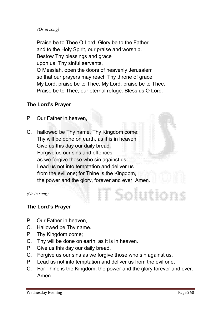#### *(Or in song)*

**Praise be to Thee O Lord. Glory be to the Father and to the Holy Spirit, our praise and worship. Bestow Thy blessings and grace upon us, Thy sinful servants, O Messiah, open the doors of heavenly Jerusalem so that our prayers may reach Thy throne of grace. My Lord, praise be to Thee. My Lord, praise be to Thee. Praise be to Thee, our eternal refuge. Bless us O Lord.** 

#### The Lord's Prayer

- **P. Our Father in heaven,**
- **C. hallowed be Thy name. Thy Kingdom come; Thy will be done on earth, as it is in heaven. Give us this day our daily bread. Forgive us our sins and offences, as we forgive those who sin against us. Lead us not into temptation and deliver us from the evil one; for Thine is the Kingdom, the power and the glory, forever and ever. Amen.**

*(Or in song)*

#### The Lord's Prayer

- **P. Our Father in heaven,**
- **C. Hallowed be Thy name.**
- **P. Thy Kingdom come;**
- **C. Thy will be done on earth, as it is in heaven.**
- **P. Give us this day our daily bread.**
- **C. Forgive us our sins as we forgive those who sin against us.**
- **P. Lead us not into temptation and deliver us from the evil one,**
- **C. For Thine is the Kingdom, the power and the glory forever and ever. Amen.**

solutions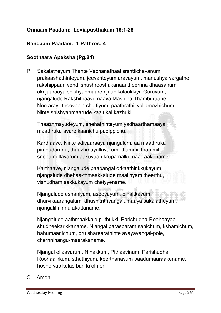#### Onnaam Paadam: Leviapusthakam 16:1-28

#### Randaam Paadam:1 Pathros: 4

#### Soothaara Apeksha (Pg.84)

**P. Sakalatheyum Thante Vachanathaal srshttichavanum, prakaashathinteyum, jeevanteyum uravayum, manushya vargathe rakshippaan vendi shushrooshakanaai theernna dhaasanum, aknjaaraaya shishyanmaare njaanikalaakkiya Guruvum, njangalude Rakshithaavumaaya Mashiha Thamburaane, Nee arayil thoovaala chuttiyum, paathrathil vellamozhichum, Ninte shishyanmaarude kaalukal kazhuki.** 

**Thaazhmayudeyum, snehathinteyum yadhaarthamaaya maathruka avare kaanichu padippichu.** 

**Karthaave, Ninte adiyaaraaya njangalum, aa maathruka pinthudarnnu, thaazhmayullavarum, thammil thammil snehamullavarum aakuvaan krupa nalkumaar-aakename.** 

**Karthaave, njangalude paapangal orkaathirikkukayum, njangalude dhehaa-thmaakkalude maalinyam theerthu, vishudham aakkukayum cheiyyename.** 

**Njangalude eshaniyum, asooyayum, pinakkavum, dhurvikaarangalum, dhushkrithyangalumaaya sakalatheyum, njangalil ninnu akattaname.** 

**Njangalude aathmaakkale puthukki, Parishudha-Roohaayaal shudheekarikkaname. Njangal parasparam sahichum, kshamichum, bahumaanichum, oru shareerathinte avayavangal-pole, chernninangu-maarakaname.** 

**Njangal ellaavarum, Ninakkum, Pithaavinum, Parishudha Roohaaikkum, sthuthiyum, keerthanavum paadumaaraakename, hosho vab'kulas ban la'olmen.**

**C. Amen.**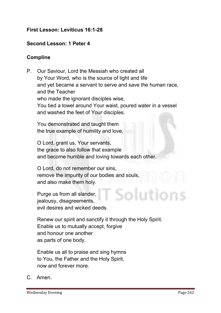#### First Lesson: Leviticus 16:1-28

#### Second Lesson: 1 Peter 4

#### Compline

**P. Our Saviour, Lord the Messiah who created all by Your Word, who is the source of light and life and yet became a servant to serve and save the human race, and the Teacher who made the ignorant disciples wise, You tied a towel around Your waist, poured water in a vessel and washed the feet of Your disciples.**

**You demonstrated and taught them the true example of humility and love.** 

**O Lord, grant us, Your servants, the grace to also follow that example and become humble and loving towards each other.**

**O Lord, do not remember our sins, remove the impurity of our bodies and souls, and also make them holy.**

**Purge us from all slander, jealousy, disagreements, evil desires and wicked deeds.**

**Renew our spirit and sanctify it through the Holy Spirit. Enable us to mutually accept, forgive and honour one another as parts of one body.**

**Enable us all to praise and sing hymns to You, the Father and the Holy Spirit, now and forever more.**

**C. Amen.**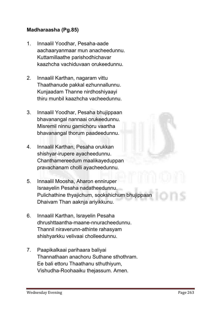#### Madharaasha (Pg.85)

- **1. Innaalil Yoodhar, Pesaha-aade aachaaryanmaar mun anacheedunnu. Kuttamillaathe parishodhichavar kaazhcha vachiduvaan orukeedunnu.**
- **2. Innaalil Karthan, nagaram vittu Thaathanude pakkal ezhunnallunnu. Kunjaadam Thanne nirdhoshiyaayi thiru munbil kaazhcha vacheedunnu.**
- **3. Innaalil Yoodhar, Pesaha bhujippaan bhavanangal nannaai orukeedunnu. Misremil ninnu gamichoru vaartha bhavanangal thorum paadeedunnu.**
- **4. Innaalil Karthan, Pesaha orukkan shishyar-irupere ayacheedunnu. Chanthamereedum maalikayeduppan pravachanam cholli ayacheedunnu.**
- **5. Innaalil Moosha, Aharon enniruper Israayelin Pesaha nadatheedunnu. Pulichathine thyajichum, sookshichum bhujippaan Dhaivam Than aaknja ariyikkunu.**
- **6. Innaalil Karthan, Israyelin Pesaha dhrushttaantha-maane-nnuracheedunnu. Thannil niraverunn-athinte rahasyam shishyarkku velivaai cholleedunnu.**
- **7. Paapikalkaai parihaara baliyai Thannathaan anachoru Suthane sthothram. Ee bali ettoru Thaathanu sthuthiyum, Vishudha-Roohaaiku thejassum. Amen.**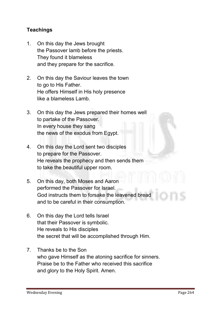#### **Teachings**

- **1. On this day the Jews brought the Passover lamb before the priests. They found it blameless and they prepare for the sacrifice.**
- **2. On this day the Saviour leaves the town to go to His Father. He offers Himself in His holy presence like a blameless Lamb.**
- **3. On this day the Jews prepared their homes well to partake of the Passover. In every house they sang the news of the exodus from Egypt.**
- **4. On this day the Lord sent two disciples to prepare for the Passover. He reveals the prophecy and then sends them to take the beautiful upper room.**
- **5. On this day, both Moses and Aaron performed the Passover for Israel. God instructs them to forsake the leavened bread and to be careful in their consumption.**
- **6. On this day the Lord tells Israel that their Passover is symbolic. He reveals to His disciples the secret that will be accomplished through Him.**
- **7. Thanks be to the Son who gave Himself as the atoning sacrifice for sinners. Praise be to the Father who received this sacrifice and glory to the Holy Spirit. Amen.**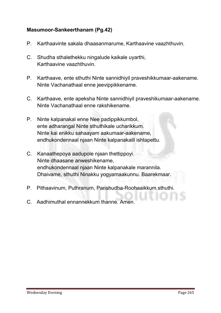#### Masumoor-Sankeerthanam (Pg.42)

- **P. Karthaavinte sakala dhaasanmarume, Karthaavine vaazhthuvin.**
- **C. Shudha sthalethekku ningalude kaikale uyarthi, Karthaavine vaazhthuvin.**
- **P. Karthaave, ente sthuthi Ninte sannidhiyil praveshikkumaar-aakename. Ninte Vachanathaal enne jeevippikkename.**
- **C. Karthaave, ente apeksha Ninte sannidhiyil praveshikumaar-aakename. Ninte Vachanathaal enne rakshikename.**
- **P. Ninte kalpanakal enne Nee padippikkumbol, ente adharangal Ninte sthuthikale ucharikkum. Ninte kai enikku sahaayam aakumaar-aakename, endhukondennaal njaan Ninte kalpanakalil ishtapettu.**
- **C. Kanaathepoya aadupole njaan thettippoyi. Ninte dhaasane anweshikename, endhukondennaal njaan Ninte kalpanakale marannila. Dhaivame, sthuthi Ninakku yogyamaakunnu. Baarekmaar.**
- **P. Pithaavinum, Puthranum, Parishudha-Roohaaikkum sthuthi.**
- **C. Aadhimuthal ennannekkum thanne. Amen.**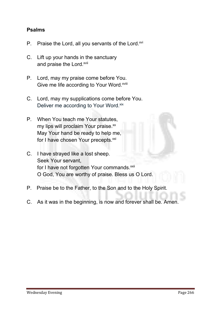#### Psalms

- **P. Praise the Lord, all you servants of the Lord.xvi**
- **C. Lift up your hands in the sanctuary**  and praise the Lord.<sup>xvii</sup>
- **P. Lord, may my praise come before You.**  Give me life according to Your Word.<sup>xviii</sup>
- **C. Lord, may my supplications come before You.** Deliver me according to Your Word.<sup>xix</sup>
- **P. When You teach me Your statutes, my lips will proclaim Your praise. xx May Your hand be ready to help me, for I have chosen Your precepts. xxi**
- **C. I have strayed like a lost sheep. Seek Your servant, for I have not forgotten Your commands. xxii O God, You are worthy of praise. Bless us O Lord.**
- **P. Praise be to the Father, to the Son and to the Holy Spirit.**
- **C. As it was in the beginning, is now and forever shall be. Amen.**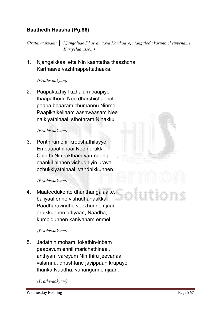#### Baathedh Haasha (Pg.86)

*(Prathivaakyam: ┼ Njangalude Dhaivamaaya Karthaave, njangalodu karuna cheiyyename. Kuriyelaayisson.)*

**1. Njangalkkaai etta Nin kashtatha thaazhcha Karthaave vazhthappettathaaka.**

#### *(Prathivaakyam)*

**2. Paapakuzhiyil uzhalum paapiye thaapathodu Nee dharshichappol, paapa bhaaram chumannu Ninmel. Paapikalkellaam aashwaasam Nee nalkiyathinaal, sthothram Ninakku.**

#### *(Prathivaakyam)*

**3. Ponthirumeni, krooshathilayyo En paapathinaai Nee nurukki. Chinthi Nin raktham van-nadhipole, chankil ninnen vishudhiyin urava ozhukkiyathinaal, vandhikkunnen.**

#### *(Prathivaakyam)*

**4. Maateedukente dhurithangalaake, baliyaal enne vishudhanaakka. Paadharavindhe veezhunne njaan arpikkunnen adiyaan, Naadha, kumbidunnen kaniyanam enmel.**

#### *(Prathivaakyam)*

**5. Jadathin moham, lokathin-inbam paapavum ennil marichathinaal, anthyam vareyum Nin thiru jeevanaal valarnnu, dhushtane jayippaan krupaye tharika Naadha, vanangunne njaan.**

#### *(Prathivaakyam)*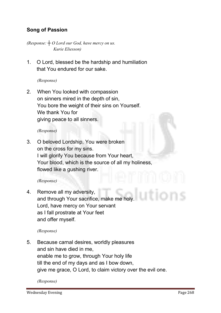#### Song of Passion

*(Response: ┼ O Lord our God, have mercy on us. Kurie Eliesson)*

**1. O Lord, blessed be the hardship and humiliation that You endured for our sake.** 

*(Response)*

**2. When You looked with compassion on sinners mired in the depth of sin, You bore the weight of their sins on Yourself. We thank You for giving peace to all sinners.**

*(Response)*

**3. O beloved Lordship, You were broken on the cross for my sins. I will glorify You because from Your heart, Your blood, which is the source of all my holiness, flowed like a gushing river.**

#### *(Response)*

**4. Remove all my adversity, and through Your sacrifice, make me holy. Lord, have mercy on Your servant as I fall prostrate at Your feet and offer myself.**

*(Response)*

**5. Because carnal desires, worldly pleasures and sin have died in me, enable me to grow, through Your holy life till the end of my days and as I bow down, give me grace, O Lord, to claim victory over the evil one.**

*(Response)*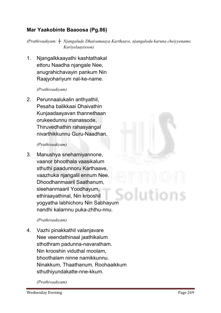#### Mar Yaakobinte Baaoosa (Pg.86)

*(Prathivaakyam: ┼ Njangalude Dhaivamaaya Karthaave, njangalodu karuna cheiyyename. Kuriyelaayisson)*

**1. Njangalkkaayathi kashtathakal ettoru Naadha njangale Nee, anugrahichavayin pankum Nin Raajyohariyum nal-ke-name.**

#### *(Prathivaakyam)*

**2. Perunnaalukalin anthyathil, Pesaha balikkaai Dhaivathin Kunjaadaayavan thannethaan orukeedunnu manassode, Thiruvedhathin rahasyangal nivarthikkunnu Guru-Naadhan.**

#### *(Prathivaakyam)*

**3. Manushya snehamiyannone, vaanor bhoothala vaasikalum sthuthi paadunnoru Karthaave, vaazhuka njangalil ennum Nee. Dhoodhanmaaril Saathanum, sleehanmaaril Yoodhayum, ethiraayathinal, Nin krooshil yogyatha labhichoru Nin Sabhayum nandhi kalarnnu puka-zhthu-nnu.**

#### *(Prathivaakyam)*

**4. Vazhi pinakkathil valanjavare Nee veendathinaal jaathikalum sthothram padunna-navaratham. Nin krooshin viduthal moolam, bhoothalam ninne namikkunnu. Ninakkum, Thaathanum, Roohaaikkum sthuthiyundakatte-nne-kkum.**

*(Prathivaakyam)*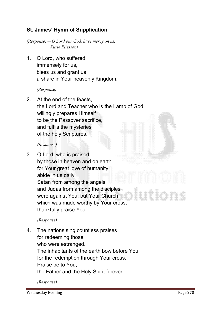#### St. James' Hymn of Supplication

*(Response: ┼ O Lord our God, have mercy on us. Kurie Eliesson)*

**1. O Lord, who suffered immensely for us, bless us and grant us a share in Your heavenly Kingdom.**

#### *(Response)*

**2. At the end of the feasts, the Lord and Teacher who is the Lamb of God, willingly prepares Himself to be the Passover sacrifice, and fulfils the mysteries of the holy Scriptures.**

#### *(Response)*

**3. O Lord, who is praised by those in heaven and on earth for Your great love of humanity, abide in us daily. Satan from among the angels and Judas from among the disciples were against You, but Your Church which was made worthy by Your cross, thankfully praise You.**

#### *(Response)*

**4. The nations sing countless praises for redeeming those who were estranged. The inhabitants of the earth bow before You, for the redemption through Your cross. Praise be to You, the Father and the Holy Spirit forever.**

*(Response)*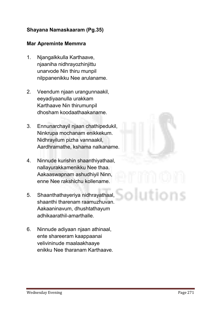#### Shayana Namaskaaram (Pg.35)

#### Mar Apreminte Memmra

- **1. Njangalkkulla Karthaave, njaaniha nidhrayozhinjittu unarvode Nin thiru munpil nilppanenikku Nee arulaname.**
- **2. Veendum njaan urangunnaakil, eeyadiyaanulla urakkam Karthaave Nin thirumunpil dhosham koodaathaakaname.**
- **3. Ennunarchayil njaan chathipedukil, Ninkrupa mochanam enikkekum. Nidhrayilum pizha vannaakil, Aardhramathe, kshama nalkaname.**
- **4. Ninnude kurishin shaanthiyathaal, nallayurakkamenikku Nee thaa. Aakaaswapnam ashudhiyil Ninn, enne Nee rakshichu kollename.**
- **5. Shaanthathayeriya nidhrayathaal, shaanthi tharenam raamuzhuvan. Aakaaninavum, dhushtathayum adhikaarathil-amarthalle.**
- **6. Ninnude adiyaan njaan athinaal, ente shareeram kaappaanai velivininude maalaakhaaye enikku Nee tharanam Karthaave.**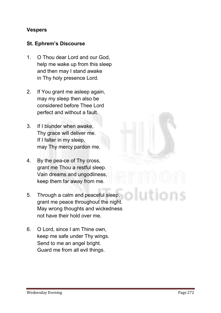#### **Vespers**

#### St. Ephrem's Discourse

- **1. O Thou dear Lord and our God, help me wake up from this sleep and then may I stand awake in Thy holy presence Lord.**
- **2. If You grant me asleep again, may my sleep then also be considered before Thee Lord perfect and without a fault.**
- **3. If I blunder when awake, Thy grace will deliver me. If I falter in my sleep, may Thy mercy pardon me.**
- **4. By the pea-ce of Thy cross, grant me Thou a restful sleep. Vain dreams and ungodliness, keep them far away from me.**
- **5. Through a calm and peaceful sleep, grant me peace throughout the night. May wrong thoughts and wickedness not have their hold over me.**
- **6. O Lord, since I am Thine own, keep me safe under Thy wings. Send to me an angel bright. Guard me from all evil things.**

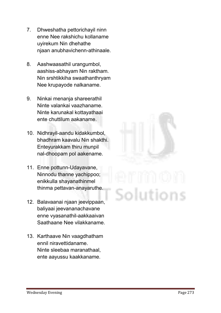- **7. Dhweshatha pettorichayil ninn enne Nee rakshichu kollaname uyirekum Nin dhehathe njaan anubhavichenn-athinaale.**
- **8. Aashwaasathil urangumbol, aashiss-abhayam Nin raktham. Nin srshtikkiha swaathanthryam Nee krupayode nalkaname.**
- **9. Ninkai menanja shareerathil Ninte valankai vaazhaname. Ninte karunakal kottayathaai ente chuttilum aakaname.**
- **10. Nidhrayil-aandu kidakkumbol, bhadhram kaavalu Nin shakthi. Enteyurakkam thiru munpil nal-dhoopam pol aakename.**
- **11. Enne pottunn-Udayavane, Ninnodu thanne yachippoo; enikkulla shayanathinmel thinma pettavan-anayaruthe.**
- **12. Balavaanai njaan jeevippaan, baliyaai jeevananachavane enne vyasanathil-aakkaaivan Saathaane Nee vilakkaname.**
- **13. Karthaave Nin vaagdhatham ennil niravettidaname. Ninte sleebaa maranathaal, ente aayussu kaakkaname.**

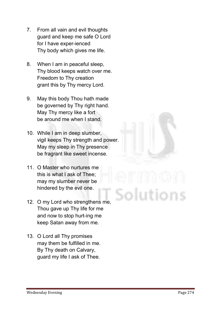- **7. From all vain and evil thoughts guard and keep me safe O Lord for I have exper-ienced Thy body which gives me life.**
- **8. When I am in peaceful sleep, Thy blood keeps watch over me. Freedom to Thy creation grant this by Thy mercy Lord.**
- **9. May this body Thou hath made be governed by Thy right hand. May Thy mercy like a fort be around me when I stand.**
- **10. While I am in deep slumber, vigil keeps Thy strength and power. May my sleep in Thy presence be fragrant like sweet incense.**
- **11. O Master who nurtures me this is what I ask of Thee; may my slumber never be hindered by the evil one.**
- **12. O my Lord who strengthens me, Thou gave up Thy life for me and now to stop hurt-ing me keep Satan away from me.**
- **13. O Lord all Thy promises may them be fulfilled in me. By Thy death on Calvary, guard my life I ask of Thee.**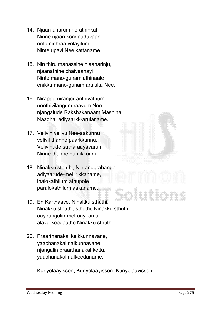- **14. Njaan-unarum nerathinkal Ninne njaan kondaaduvaan ente nidhraa velayilum, Ninte upavi Nee kattaname.**
- **15. Nin thiru manassine njaanarinju, njaanathine chaivaanayi Ninte mano-gunam athinaale enikku mano-gunam aruluka Nee.**
- **16. Nirappu-niranjor-anthiyathum neethivilangum raavum Nee njangalude Rakshakanaam Mashiha, Naadha, adiyaarkk-arulaname.**
- **17. Velivin velivu Nee-aakunnu velivil thanne paarkkunnu. Velivinude sutharaayavarum Ninne thanne namikkunnu.**
- **18. Ninakku sthuthi, Nin anugrahangal adiyaarude-mel irikkaname, ihalokathilum athupole paralokathilum aakaname.**
- **19. En Karthaave, Ninakku sthuthi, Ninakku sthuthi, sthuthi, Ninakku sthuthi aayirangalin-mel-aayiramai alavu-koodaathe Ninakku sthuthi.**
- **20. Praarthanakal kelkkunnavane, yaachanakal nalkunnavane, njangalin praarthanakal kettu, yaachanakal nalkeedaname.**

**Kuriyelaayisson; Kuriyelaayisson; Kuriyelaayisson.**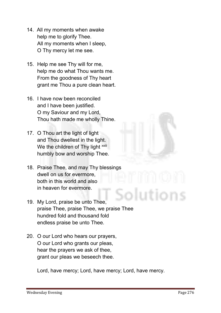- **14. All my moments when awake help me to glorify Thee. All my moments when I sleep, O Thy mercy let me see.**
- **15. Help me see Thy will for me, help me do what Thou wants me. From the goodness of Thy heart grant me Thou a pure clean heart.**
- **16. I have now been reconciled and I have been justified. O my Saviour and my Lord, Thou hath made me wholly Thine.**
- **17. O Thou art the light of light and Thou dwellest in the light.** We the children of Thy light **xxiii humbly bow and worship Thee.**
- **18. Praise Thee, and may Thy blessings dwell on us for evermore, both in this world and also in heaven for evermore.**
- **19. My Lord, praise be unto Thee, praise Thee, praise Thee, we praise Thee hundred fold and thousand fold endless praise be unto Thee.**
- **20. O our Lord who hears our prayers, O our Lord who grants our pleas, hear the prayers we ask of thee, grant our pleas we beseech thee.**

**Lord, have mercy; Lord, have mercy; Lord, have mercy.**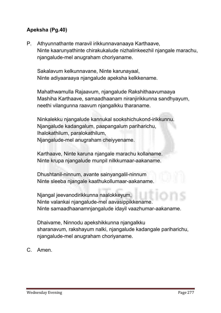#### Apeksha (Pg.40)

**P. Athyunnathante maravil irikkunnavanaaya Karthaave, Ninte kaarunyathinte chirakukalude nizhalinkeezhil njangale marachu, njangalude-mel anugraham choriyaname.**

 **Sakalavum kelkunnavane, Ninte karunayaal, Ninte adiyaaraaya njangalude apeksha kelkkename.**

 **Mahathwamulla Rajaavum, njangalude Rakshithaavumaaya Mashiha Karthaave, samaadhaanam niranjirikkunna sandhyayum, neethi vilangunna raavum njangalkku tharaname.**

 **Ninkalekku njangalude kannukal sookshichukond-irikkunnu. Njangalude kadangalum, paapangalum pariharichu, Ihalokathilum, paralokathilum, Njangalude-mel anugraham cheiyyename.**

 **Karthaave, Ninte karuna njangale marachu kollaname. Ninte krupa njangalude munpil nilkkumaar-aakaname.**

 **Dhushtanil-ninnum, avante sainyangalil-ninnum Ninte sleeba njangale kaathukollumaar-aakaname.**

 **Njangal jeevanodirikkunna naalokkeyum, Ninte valankai njangalude-mel aavasippikkename. Ninte samaadhaanamnjangalude idayil vaazhumar-aakaname.**

 **Dhaivame, Ninnodu apekshikkunna njangalkku sharanavum, rakshayum nalki, njangalude kadangale pariharichu, njangalude-mel anugraham choriyaname.** 

**C. Amen.**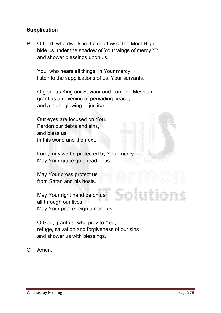#### **Supplication**

**P. O Lord, who dwells in the shadow of the Most High, hide us under the shadow of Your wings of mercy, xxiv and shower blessings upon us.**

 **You, who hears all things, in Your mercy, listen to the supplications of us, Your servants.**

 **O glorious King our Saviour and Lord the Messiah, grant us an evening of pervading peace, and a night glowing in justice.**

 **Our eyes are focused on You. Pardon our debts and sins, and bless us, in this world and the next.**

 **Lord, may we be protected by Your mercy. May Your grace go ahead of us.**

 **May Your cross protect us from Satan and his hosts.**

 **May Your right hand be on us all through our lives. May Your peace reign among us.**

 **O God, grant us, who pray to You, refuge, salvation and forgiveness of our sins and shower us with blessings.** 

**C. Amen.**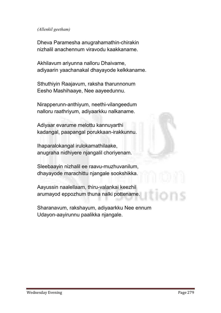#### *(Allenkil geetham)*

**Dheva Paramesha anugrahamathin-chirakin nizhalil anachennum viravodu kaakkaname.**

**Akhilavum ariyunna nalloru Dhaivame, adiyaarin yaachanakal dhayayode kelkkaname.**

**Sthuthiyin Raajavum, raksha tharunnonum Eesho Mashihaaye, Nee aayeedunnu.**

**Nirapperunn-anthiyum, neethi-vilangeedum nalloru raathriyum, adiyaarkku nalkaname.**

**Adiyaar evarume melottu kannuyarthi kadangal, paapangal porukkaan-irakkunnu.**

**Ihaparalokangal irulokamathilaake, anugraha nidhiyere njangalil choriyenam.**

**Sleebaayin nizhalil ee raavu-muzhuvanilum, dhayayode marachittu njangale sookshikka.**

**Aayussin naalellaam, thiru-valankai keezhil arumayod eppozhum thuna nalki pottename.**

**Sharanavum, rakshayum, adiyaarkku Nee ennum Udayon-aayirunnu paalikka njangale.**

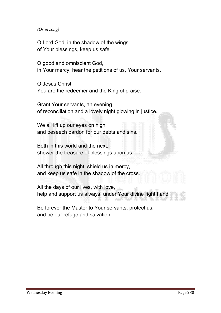*(Or in song)* 

**O Lord God, in the shadow of the wings of Your blessings, keep us safe.**

**O good and omniscient God, in Your mercy, hear the petitions of us, Your servants.**

**O Jesus Christ, You are the redeemer and the King of praise.**

**Grant Your servants, an evening of reconciliation and a lovely night glowing in justice.**

**We all lift up our eyes on high and beseech pardon for our debts and sins.**

**Both in this world and the next, shower the treasure of blessings upon us.**

**All through this night, shield us in mercy, and keep us safe in the shadow of the cross.**

**All the days of our lives, with love, help and support us always, under Your divine right hand.**

**Be forever the Master to Your servants, protect us, and be our refuge and salvation.**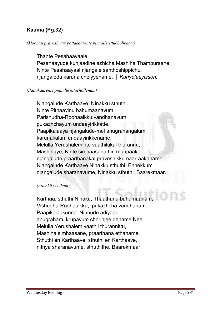#### Kauma (Pg.32)

#### *(Moonnu pravashyam pattakaarente pinnalle ettuchollenam)*

**Thante Pesahaayaale, Pesahaayude kunjaadine azhicha Mashiha Thamburaane, Ninte Pesahaayaal njangale santhoshippichu, njangalodu karuna cheiyyename.** *┼ Kuriyelaayisson.*

#### *(Pattakaarente pinnalle ettuchollenam)*

**Njangalude Karthaave, Ninakku sthuthi. Ninte Pithaavinu bahumaanavum, Parishudha-Roohaaikku vandhanavum pukazhchayum undaayirikkatte. Paapikalaaya njangalude-mel anugrahangalum, karunakalum undaayirikkename. Melulla Yerushaleminte vaathilukal thurannu, Mashihaye, Ninte simhaasanathin munpaake njangalude praarthanakal praveshikkumaar-aakaname. Njangalude Karthaave Ninakku sthuthi. Ennekkum njangalude sharanavume, Ninakku sthuthi. Baarekmaar.** 

#### *(Allenkil geetham)*

**Karthaa, sthuthi Ninaku, Thaathanu bahumaanam, Vishudha-Roohaaikku, pukazhcha vandhanam. Paapikalaakunna Ninnude adiyaaril anugraham, krupayum chorinjee dename Nee. Melulla Yerushalem vaathil thurannittu, Mashiha simhaasane, praarthana ethaname. Sthuthi en Karthaave, sthuthi en Karthaave, nithya sharanavume, sthuthithe. Baarekmaar.**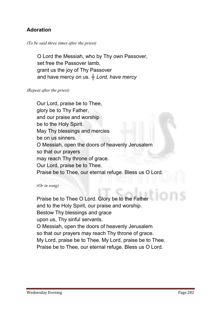#### Adoration

#### *(To be said three times after the priest)*

**O Lord the Messiah, who by Thy own Passover, set free the Passover lamb, grant us the joy of Thy Passover and have mercy on us.** *┼ Lord, have mercy*

#### *(Repeat after the priest)*

**Our Lord, praise be to Thee, glory be to Thy Father, and our praise and worship be to the Holy Spirit. May Thy blessings and mercies be on us sinners. O Messiah, open the doors of heavenly Jerusalem so that our prayers may reach Thy throne of grace. Our Lord, praise be to Thee. Praise be to Thee, our eternal refuge. Bless us O Lord.**

*(Or in song)* 

**Praise be to Thee O Lord. Glory be to the Father and to the Holy Spirit, our praise and worship. Bestow Thy blessings and grace upon us, Thy sinful servants. O Messiah, open the doors of heavenly Jerusalem so that our prayers may reach Thy throne of grace. My Lord, praise be to Thee. My Lord, praise be to Thee. Praise be to Thee, our eternal refuge. Bless us O Lord.**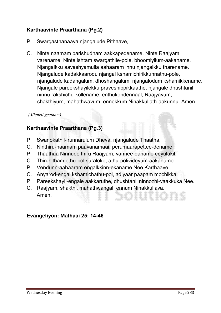#### Karthaavinte Praarthana (Pg.2)

- **P. Swargasthanaaya njangalude Pithaave,**
- **C. Ninte naamam parishudham aakkapedename. Ninte Raajyam varename; Ninte ishtam swargathile-pole, bhoomiyilum-aakaname. Njangalkku aavashyamulla aahaaram innu njangalkku tharename. Njangalude kadakkaarodu njangal kshamichirikkunnathu-pole, njangalude kadangalum, dhoshangalum, njangalodum kshamikkename. Njangale pareekshayilekku praveshippikkaathe, njangale dhushtanil ninnu rakshichu-kollename; enthukondennaal, Raajyavum, shakthiyum, mahathwavum, ennekkum Ninakkullath-aakunnu. Amen.**

#### *(Allenkil geetham)*

#### Karthaavinte Praarthana (Pg.3)

- **P. Swarlokathil-irunnarulum Dheva, njangalude Thaatha,**
- **C. Ninthiru-naamam paavanamaai, perumaarapettee-dename.**
- **P. Thaathaa Ninnude thiru Raajyam, vannee-daname eeyulakil.**
- **C. Thiruhitham ethu-pol suraloke, athu-polivideyum-aakaname.**
- **P. Vendunn-aahaaram engalkkinn-ekaname Nee Karthaave.**
- **C. Anyarod-engal kshamichathu-pol, adiyaar paapam mochikka.**
- **P. Pareekshayil-engale aakkaruthe, dhushtanil ninnozhi-vaakkuka Nee.**
- **C. Raajyam, shakthi, mahathwangal, ennum Ninakkullava. Amen.**

#### Evangeliyon: Mathaai 25: 14-46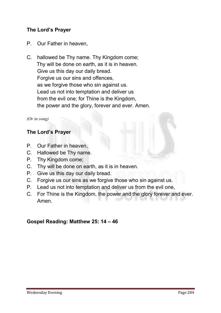#### The Lord's Prayer

- **P. Our Father in heaven,**
- **C. hallowed be Thy name. Thy Kingdom come; Thy will be done on earth, as it is in heaven. Give us this day our daily bread. Forgive us our sins and offences, as we forgive those who sin against us. Lead us not into temptation and deliver us from the evil one; for Thine is the Kingdom, the power and the glory, forever and ever. Amen.**

#### *(Or in song)*

#### The Lord's Prayer

- **P. Our Father in heaven,**
- **C. Hallowed be Thy name.**
- **P. Thy Kingdom come;**
- **C. Thy will be done on earth, as it is in heaven.**
- **P. Give us this day our daily bread.**
- **C. Forgive us our sins as we forgive those who sin against us.**
- **P. Lead us not into temptation and deliver us from the evil one,**
- **C. For Thine is the Kingdom, the power and the glory forever and ever. Amen.**

#### Gospel Reading: Matthew 25: 14 – 46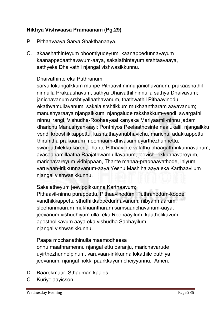#### Nikhya Vishwaasa Pramaanam (Pg.29)

- **P. Pithaavaaya Sarva Shakthanaaya,**
- **C. akaashathinteyum bhoomiyudeyum, kaanappedunnavayum kaanappedaathavayum-aaya, sakalathinteyum srshtaavaaya, sathyeka Dhaivathil njangal vishwasikkunnu.**

#### **Dhaivathinte eka Puthranum,**

**sarva lokangalkkum munpe Pithaavil-ninnu janichavanum; prakaashathil ninnulla Prakaashavum, sathya Dhaivathil ninnulla sathya Dhaivavum; janichavanum srshtiyallaathavanum, thathwathil Pithaavinodu ekathvamullavanum, sakala srshtikkum mukhaantharam aayavanum; manushyaraaya njangalkkum, njangalude rakshakkum-vendi, swargathil ninnu irangi, Vishudha-Roohaayaal kanyaka Mariyaamil-ninnu jadam dharichu Manushyan-aayi; Ponthiyos Peelaathosinte naalukalil, njangalkku vendi krooshikkappettu, kashtathayanubhavichu, marichu, adakkappettu, thiruhitha prakaaram moonnaam-dhivasam uyarthezhunnettu, swargathilekku kareri, Thante Pithaavinte valathu bhaagath-irikunnavanum, avasaanamillaatha Raajathwam ullavanum, jeevich-irikkunnavareyum, marichavareyum vidhippaan, Thante mahaa-prabhaavathode, iniyum varuvaan-irikkunnavanum-aaya Yeshu Mashiha aaya eka Karthaavilum njangal vishwasikkunnu.**

**Sakalatheyum jeevippikkunna Karthaavum;**

**Pithaavil-ninnu purappettu, Pithaavinodum, Puthranodum-koode vandhikkappettu sthuthikkappedunnavanum; nibyanmaarum, sleehanmaarum mukhaantharam samsaarichavanum-aaya, jeevanum vishudhiyum ulla, eka Roohaayilum, kaatholikavum, apostholikavum aaya eka vishudha Sabhayilum njangal vishwasikkunnu.**

**Paapa mochanathinulla maamodheesa onnu maathramennu njangal ettu paranju, marichavarude uyirthezhunnelpinum, varuvaan-irikkunna lokathile puthiya jeevanum, njangal nokki paarkkayum cheiyyunnu. Amen.**

- **D. Baarekmaar. Sthauman kaalos.**
- **C. Kuriyelaayisson.**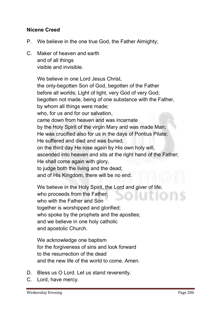#### Nicene Creed

- **P. We believe in the one true God, the Father Almighty;**
- **C. Maker of heaven and earth and of all things visible and invisible.**

**We believe in one Lord Jesus Christ, the only-begotten Son of God, begotten of the Father before all worlds; Light of light, very God of very God; begotten not made, being of one substance with the Father, by whom all things were made; who, for us and for our salvation, came down from heaven and was incarnate by the Holy Spirit of the virgin Mary and was made Man; He was crucified also for us in the days of Pontius Pilate; He suffered and died and was buried; on the third day He rose again by His own holy will, ascended into heaven and sits at the right hand of the Father; He shall come again with glory, to judge both the living and the dead; and of His Kingdom, there will be no end.** 

**We believe in the Holy Spirit, the Lord and giver of life; who proceeds from the Father; who with the Father and Son together is worshipped and glorified; who spoke by the prophets and the apostles; and we believe in one holy catholic and apostolic Church.**

**We acknowledge one baptism for the forgiveness of sins and look forward to the resurrection of the dead and the new life of the world to come. Amen.** 

- **D. Bless us O Lord. Let us stand reverently.**
- **C. Lord, have mercy.**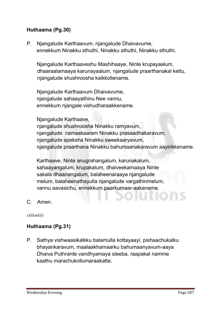#### Huthaama (Pg.30)

**P. Njangalude Karthaavum, njangalude Dhaivavume, ennekkum Ninakku sthuthi, Ninakku sthuthi, Ninakku sthuthi.**

**Njangalude Karthaaveshu Mashihaaye, Ninte krupayaalum, dhaaraalamaaya karunayaalum, njangalude praarthanakal kettu, njangalude shushroosha kaikkollename.**

**Njangalude Karthaavum Dhaivavume, njangalude sahaayathinu Nee vannu, ennekkum njangale vishudharaakkename.** 

**Njangalude Karthaave,** 

**njangalude shushroosha Ninakku ramyavum, njangalude namaskaaram Ninakku prasaadhakaravum, njangalude apeksha Ninakku sweekaaryavum, njangalude praarthana Ninakku bahumaanakaravum aayirikkename.** 

**Karthaave, Ninte anugrahangalum, karunakalum, sahaayangalum, krupakalum, dhaiveekamaaya Ninte sakala dhaanangalum, balaheenaraaya njangalude melum, balaheenathayulla njangalude vargathinmelum, vannu aavasichu, ennekkum paarkumaar-aakaname.**

**C. Amen.**

*(Allenkil)*

#### Huthaama (Pg.31)

**P. Sathya vishwaasikalkku balamulla kottayaayi, pishaachukalku bhayankaravum, maalaakhamaarku bahumaanyavum-aaya Dhaiva Puthrante vandhyamaya sleeba, raapakal namme kaathu marachukollumaraakatte.**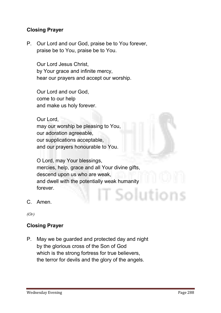#### Closing Prayer

**P. Our Lord and our God, praise be to You forever, praise be to You, praise be to You.**

**Our Lord Jesus Christ, by Your grace and infinite mercy, hear our prayers and accept our worship.** 

**Our Lord and our God, come to our help and make us holy forever.** 

**Our Lord, may our worship be pleasing to You, our adoration agreeable, our supplications acceptable, and our prayers honourable to You.** 

**O Lord, may Your blessings, mercies, help, grace and all Your divine gifts, descend upon us who are weak, and dwell with the potentially weak humanity forever.** Solution

**C. Amen.**

*(Or)*

#### Closing Prayer

**P. May we be guarded and protected day and night by the glorious cross of the Son of God which is the strong fortress for true believers, the terror for devils and the glory of the angels.**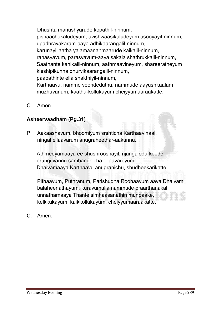**Dhushta manushyarude kopathil-ninnum, pishaachukaludeyum, avishwaasikaludeyum asooyayil-ninnum, upadhravakaram-aaya adhikaarangalil-ninnum, karunayillaatha yajamaananmaarude kaikalil-ninnum, rahasyavum, parasyavum-aaya sakala shathrukkalil-ninnum, Saathante kanikalil-ninnum, aathmaavineyum, shareeratheyum kleshipikunna dhurvikaarangalil-ninnum, paapathinte ella shakthiyil-ninnum, Karthaavu, namme veendeduthu, nammude aayushkaalam muzhuvanum, kaathu-kollukayum cheiyyumaaraakatte.**

**C. Amen.**

#### Asheervaadham (Pg.31)

**P. Aakaashavum, bhoomiyum srshticha Karthaavinaal, ningal ellaavarum anugraheethar-aakunnu.**

**Athmeeyamaaya ee shushrooshayil, njangalodu-koode orungi vannu sambandhicha ellaavareyum, Dhaivamaaya Karthaavu anugrahichu, shudheekarikatte.**

**Pithaavum, Puthranum, Parishudha Roohaayum aaya Dhaivam, balaheenathayum, kuravumulla nammude praarthanakal, unnathamaaya Thante simhaasanathin munpaake, kelkkukayum, kaikkollukayum, cheiyyumaaraakatte.**

**C. Amen.**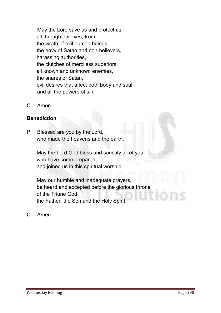**May the Lord save us and protect us all through our lives, from the wrath of evil human beings, the envy of Satan and non-believers, harassing authorities, the clutches of merciless superiors, all known and unknown enemies, the snares of Satan, evil desires that affect both body and soul and all the powers of sin.**

**C. Amen.**

#### **Benediction**

**P. Blessed are you by the Lord, who made the heavens and the earth.** 

**May the Lord God bless and sanctify all of you, who have come prepared, and joined us in this spiritual worship.** 

**May our humble and inadequate prayers, be heard and accepted before the glorious throne of the Triune God, the Father, the Son and the Holy Spirit.**

**C. Amen.**